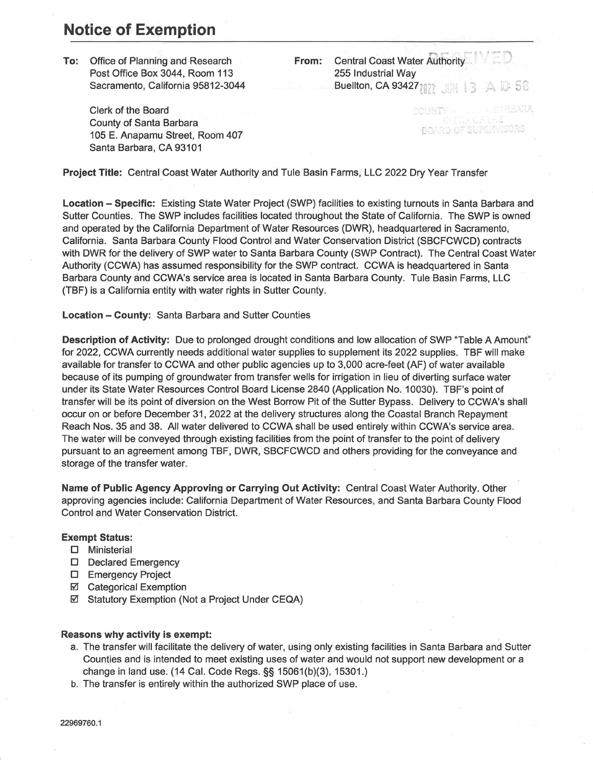## **Notice of Exemption**

**To:** Office of Planning and Research Post Office Box 3044, Room 113 Sacramento, California 95812-3044

> Clerk of the Board County of Santa Barbara 105 E. Anapamu Street, Room 407 Santa Barbara, CA 93101

**From:** Central Coast Water Authority 255 Industrial Way Buellton, CA 93427 $\eta_{\hat{i}\hat{i}}$   $\lim_{n\to\infty}$  +3  $\triangle$  +0  $-$  58

COUNT

BOARD OF SUPERVISORS

**Project Title:** Central Coast Water Authority and Tuie Basin Farms, LLC 2022 Dry Year Transfer

**Location - Specific:** Existing State Water Project (SWP) facilities to existing turnouts in Santa Barbara and Sutter Counties. The SWP includes facilities located throughout the State of California. The SWP is owned and operated by the California Department of Water Resources (DWR), headquartered in Sacramento, California. Santa Barbara County Flood Control and Water Conservation District (SBCFCWCD) contracts with DWR for the delivery of SWP water to Santa Barbara County (SWP Contract). The Central Coast Water Authority (CCWA) has assumed responsibility for the SWP contract. CCWA is headquartered in Santa Barbara County and CCWA's service area is located in Santa Barbara County. Tuie Basin Farms, LLC (TBF) is a California entity with water rights in Sutter County.

**Location - County:** Santa Barbara and Sutter Counties

**Description of Activity:** Due to prolonged drought conditions and low allocation of SWP "Table A Amount" for 2022, CCWA currently needs additional water supplies to supplement its 2022 supplies. TBF will make available for transfer to CCWA and other public agencies up to 3,000 acre-feet (AF) of water available because of its pumping of groundwater from transfer wells for irrigation in lieu of diverting surface water under its State Water Resources Control Board License 2840 (Application No. 10030). TBF's point of transfer will be its point of diversion on the West Borrow Pit of the Sutter Bypass. Delivery to CCWA's shall occur on or before December 31, 2022 at the delivery structures along the Coastal Branch Repayment Reach Nos. 35 and 38. All water delivered to CCWA shall be used entirely within CCWA's service area. The water will be conveyed through existing facilities from the point of transfer to the point of delivery pursuant to an agreement among TBF, DWR, SBCFCWCD and others providing for the conveyance and storage of the transfer water.

**Name of Public Agency Approving or Carrying Out Activity:** Central Coast Water Authority. Other approving agencies include: California Department of Water Resources, and Santa Barbara County Flood Control and Water Conservation District.

## **Exempt Status:**

- D Ministerial
- D Declared Emergency
- **D** Emergency Project
- Categorical Exemption
- Statutory Exemption (Not a Project Under CEQA)

## **Reasons why activity is exempt:**

- a. The transfer will facilitate the delivery of water, using only existing facilities in Santa Barbara and Sutter Counties and is intended to meet existing uses of water and would not support new development or a change in land use. (14 Cal. Code Regs.§§ 15061(b)(3), 15301.)
- b. The transfer is entirely within the authorized SWP place of use.